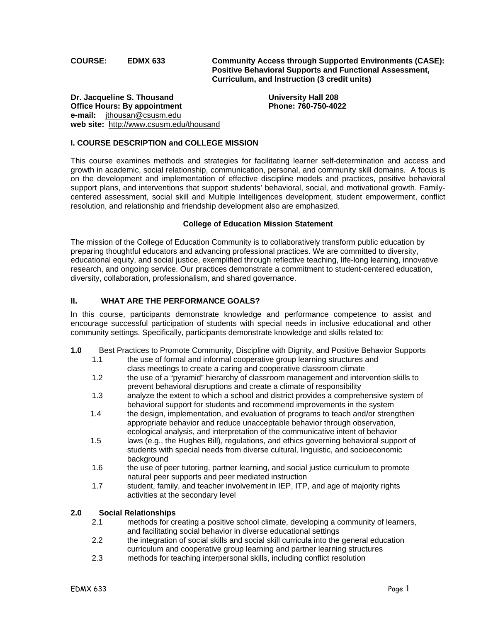**COURSE: EDMX 633 Community Access through Supported Environments (CASE): Positive Behavioral Supports and Functional Assessment, Curriculum, and Instruction (3 credit units)** 

**Dr. Jacqueline S. Thousand Communisty Communisty Hall 208 Office Hours: By appointment Phone: 760-750-4022 e-mail:** jthousan@csusm.edu **web site:** http://www.csusm.edu/thousand

# **I. COURSE DESCRIPTION and COLLEGE MISSION**

This course examines methods and strategies for facilitating learner self-determination and access and growth in academic, social relationship, communication, personal, and community skill domains. A focus is on the development and implementation of effective discipline models and practices, positive behavioral support plans, and interventions that support students' behavioral, social, and motivational growth. Familycentered assessment, social skill and Multiple Intelligences development, student empowerment, conflict resolution, and relationship and friendship development also are emphasized.

#### **College of Education Mission Statement**

The mission of the College of Education Community is to collaboratively transform public education by preparing thoughtful educators and advancing professional practices. We are committed to diversity, educational equity, and social justice, exemplified through reflective teaching, life-long learning, innovative research, and ongoing service. Our practices demonstrate a commitment to student-centered education, diversity, collaboration, professionalism, and shared governance.

### **II. WHAT ARE THE PERFORMANCE GOALS?**

In this course, participants demonstrate knowledge and performance competence to assist and encourage successful participation of students with special needs in inclusive educational and other community settings. Specifically, participants demonstrate knowledge and skills related to:

- **1.0** Best Practices to Promote Community, Discipline with Dignity, and Positive Behavior Supports
	- 1.1 the use of formal and informal cooperative group learning structures and class meetings to create a caring and cooperative classroom climate
	- 1.2 the use of a "pyramid" hierarchy of classroom management and intervention skills to prevent behavioral disruptions and create a climate of responsibility
	- 1.3 analyze the extent to which a school and district provides a comprehensive system of behavioral support for students and recommend improvements in the system
	- 1.4 the design, implementation, and evaluation of programs to teach and/or strengthen appropriate behavior and reduce unacceptable behavior through observation, ecological analysis, and interpretation of the communicative intent of behavior
	- 1.5 laws (e.g., the Hughes Bill), regulations, and ethics governing behavioral support of students with special needs from diverse cultural, linguistic, and socioeconomic background
	- 1.6 the use of peer tutoring, partner learning, and social justice curriculum to promote natural peer supports and peer mediated instruction
	- 1.7 student, family, and teacher involvement in IEP, ITP, and age of majority rights activities at the secondary level

#### **2.0 Social Relationships**

- 2.1 methods for creating a positive school climate, developing a community of learners, and facilitating social behavior in diverse educational settings
- 2.2 the integration of social skills and social skill curricula into the general education curriculum and cooperative group learning and partner learning structures
- 2.3 methods for teaching interpersonal skills, including conflict resolution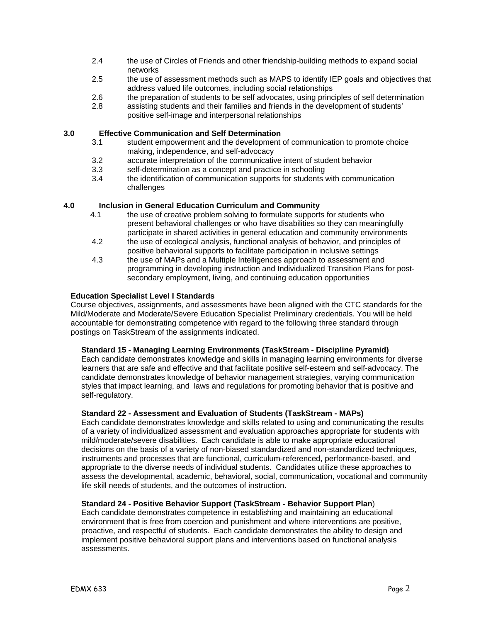- 2.4 the use of Circles of Friends and other friendship-building methods to expand social networks
- 2.5 the use of assessment methods such as MAPS to identify IEP goals and objectives that address valued life outcomes, including social relationships
- 2.6 the preparation of students to be self advocates, using principles of self determination
- 2.8 assisting students and their families and friends in the development of students' positive self-image and interpersonal relationships

#### **3.0 Effective Communication and Self Determination**

- 3.1 student empowerment and the development of communication to promote choice making, independence, and self-advocacy
- 3.2 accurate interpretation of the communicative intent of student behavior<br>3.3 self-determination as a concept and practice in schooling
- self-determination as a concept and practice in schooling
- 3.4 the identification of communication supports for students with communication challenges

### **4.0 Inclusion in General Education Curriculum and Community**

- 4.1 the use of creative problem solving to formulate supports for students who present behavioral challenges or who have disabilities so they can meaningfully participate in shared activities in general education and community environments
- 4.2 the use of ecological analysis, functional analysis of behavior, and principles of positive behavioral supports to facilitate participation in inclusive settings
- 4.3 the use of MAPs and a Multiple Intelligences approach to assessment and programming in developing instruction and Individualized Transition Plans for postsecondary employment, living, and continuing education opportunities

### **Education Specialist Level I Standards**

Course objectives, assignments, and assessments have been aligned with the CTC standards for the Mild/Moderate and Moderate/Severe Education Specialist Preliminary credentials. You will be held accountable for demonstrating competence with regard to the following three standard through postings on TaskStream of the assignments indicated.

#### **Standard 15 - Managing Learning Environments (TaskStream - Discipline Pyramid)**

Each candidate demonstrates knowledge and skills in managing learning environments for diverse learners that are safe and effective and that facilitate positive self-esteem and self-advocacy. The candidate demonstrates knowledge of behavior management strategies, varying communication styles that impact learning, and laws and regulations for promoting behavior that is positive and self-regulatory.

#### **Standard 22 - Assessment and Evaluation of Students (TaskStream - MAPs)**

Each candidate demonstrates knowledge and skills related to using and communicating the results of a variety of individualized assessment and evaluation approaches appropriate for students with mild/moderate/severe disabilities. Each candidate is able to make appropriate educational decisions on the basis of a variety of non-biased standardized and non-standardized techniques, instruments and processes that are functional, curriculum-referenced, performance-based, and appropriate to the diverse needs of individual students. Candidates utilize these approaches to assess the developmental, academic, behavioral, social, communication, vocational and community life skill needs of students, and the outcomes of instruction.

# **Standard 24 - Positive Behavior Support (TaskStream - Behavior Support Plan**)

Each candidate demonstrates competence in establishing and maintaining an educational environment that is free from coercion and punishment and where interventions are positive, proactive, and respectful of students. Each candidate demonstrates the ability to design and implement positive behavioral support plans and interventions based on functional analysis assessments.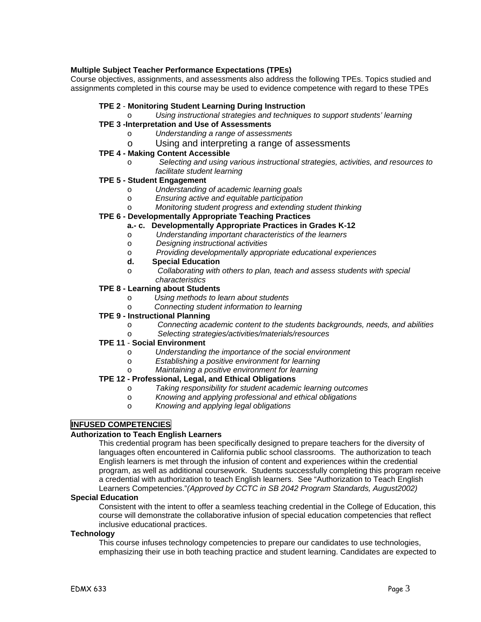### **Multiple Subject Teacher Performance Expectations (TPEs)**

Course objectives, assignments, and assessments also address the following TPEs. Topics studied and assignments completed in this course may be used to evidence competence with regard to these TPEs

### **TPE 2** - **Monitoring Student Learning During Instruction**

Using instructional strategies and techniques to support students' learning

# **TPE 3 -Interpretation and Use of Assessments**

- o *Understanding a range of assessments*
- o Using and interpreting a range of assessments

#### **TPE 4 - Making Content Accessible**

o *Selecting and using various instructional strategies, activities, and resources to facilitate student learning*

# **TPE 5 - Student Engagement**

- o *Understanding of academic learning goals*
- o *Ensuring active and equitable participation*
- o *Monitoring student progress and extending student thinking*

#### **TPE 6 - Developmentally Appropriate Teaching Practices**

- **a.- c. Developmentally Appropriate Practices in Grades K-12**
- o *Understanding important characteristics of the learners*
- o *Designing instructional activities*
- o *Providing developmentally appropriate educational experiences*
- **d. Special Education**
- o *Collaborating with others to plan, teach and assess students with special characteristics*

#### **TPE 8 - Learning about Students**

- o *Using methods to learn about students*
- o *Connecting student information to learning*

#### **TPE 9 - Instructional Planning**

- o *Connecting academic content to the students backgrounds, needs, and abilities*
- o *Selecting strategies/activities/materials/resources*

#### **TPE 11** - **Social Environment**

- o *Understanding the importance of the social environment*
- o *Establishing a positive environment for learning*
- o *Maintaining a positive environment for learning*

# **TPE 12 - Professional, Legal, and Ethical Obligations**

- o *Taking responsibility for student academic learning outcomes*
- o *Knowing and applying professional and ethical obligations*
- o *Knowing and applying legal obligations*

# **INFUSED COMPETENCIES**

#### **Authorization to Teach English Learners**

This credential program has been specifically designed to prepare teachers for the diversity of languages often encountered in California public school classrooms. The authorization to teach English learners is met through the infusion of content and experiences within the credential program, as well as additional coursework. Students successfully completing this program receive a credential with authorization to teach English learners. See "Authorization to Teach English Learners Competencies."*(Approved by CCTC in SB 2042 Program Standards, August2002)* 

#### **Special Education**

Consistent with the intent to offer a seamless teaching credential in the College of Education, this course will demonstrate the collaborative infusion of special education competencies that reflect inclusive educational practices.

#### **Technology**

This course infuses technology competencies to prepare our candidates to use technologies, emphasizing their use in both teaching practice and student learning. Candidates are expected to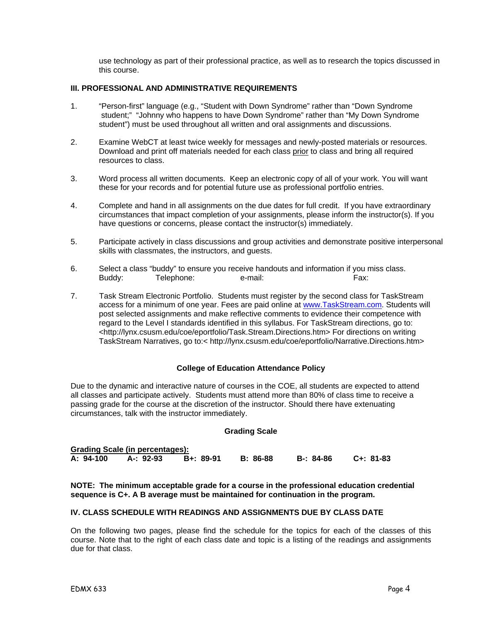use technology as part of their professional practice, as well as to research the topics discussed in this course.

### **III. PROFESSIONAL AND ADMINISTRATIVE REQUIREMENTS**

- 1. "Person-first" language (e.g., "Student with Down Syndrome" rather than "Down Syndrome student;" "Johnny who happens to have Down Syndrome" rather than "My Down Syndrome student") must be used throughout all written and oral assignments and discussions.
- 2. Examine WebCT at least twice weekly for messages and newly-posted materials or resources. Download and print off materials needed for each class prior to class and bring all required resources to class.
- 3. Word process all written documents. Keep an electronic copy of all of your work. You will want these for your records and for potential future use as professional portfolio entries.
- 4. Complete and hand in all assignments on the due dates for full credit. If you have extraordinary circumstances that impact completion of your assignments, please inform the instructor(s). If you have questions or concerns, please contact the instructor(s) immediately.
- 5. Participate actively in class discussions and group activities and demonstrate positive interpersonal skills with classmates, the instructors, and guests.
- 6. Select a class "buddy" to ensure you receive handouts and information if you miss class. Buddy: Telephone: e-mail: Fax: Fax:
- 7. Task Stream Electronic Portfolio. Students must register by the second class for TaskStream access for a minimum of one year. Fees are paid online at www.TaskStream.com. Students will post selected assignments and make reflective comments to evidence their competence with regard to the Level I standards identified in this syllabus. For TaskStream directions, go to: <http://lynx.csusm.edu/coe/eportfolio/Task.Stream.Directions.htm> For directions on writing TaskStream Narratives, go to:< http://lynx.csusm.edu/coe/eportfolio/Narrative.Directions.htm>

#### **College of Education Attendance Policy**

Due to the dynamic and interactive nature of courses in the COE, all students are expected to attend all classes and participate actively. Students must attend more than 80% of class time to receive a passing grade for the course at the discretion of the instructor. Should there have extenuating circumstances, talk with the instructor immediately.

#### **Grading Scale**

| <b>Grading Scale (in percentages):</b> |           |           |                 |           |           |  |
|----------------------------------------|-----------|-----------|-----------------|-----------|-----------|--|
| A: 94-100                              | A-: 92-93 | B+: 89-91 | <b>B:</b> 86-88 | B-: 84-86 | C+: 81-83 |  |

#### **NOTE: The minimum acceptable grade for a course in the professional education credential sequence is C+. A B average must be maintained for continuation in the program.**

#### **IV. CLASS SCHEDULE WITH READINGS AND ASSIGNMENTS DUE BY CLASS DATE**

On the following two pages, please find the schedule for the topics for each of the classes of this course. Note that to the right of each class date and topic is a listing of the readings and assignments due for that class.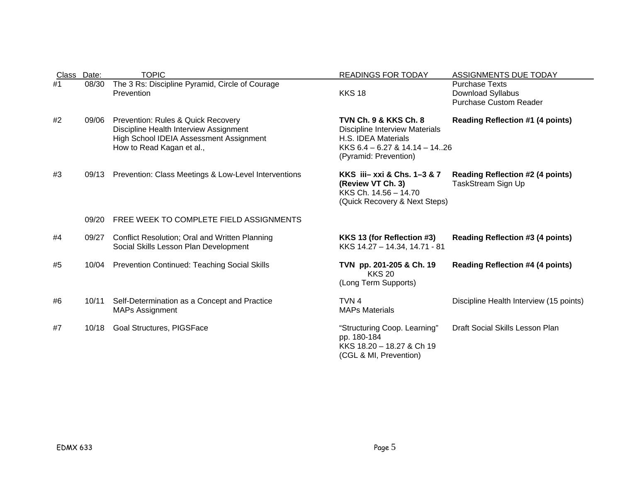| Class Date: |       | <b>TOPIC</b>                                                                                                                                         | <b>READINGS FOR TODAY</b>                                                                                                                                  | <b>ASSIGNMENTS DUE TODAY</b>                                                |
|-------------|-------|------------------------------------------------------------------------------------------------------------------------------------------------------|------------------------------------------------------------------------------------------------------------------------------------------------------------|-----------------------------------------------------------------------------|
| #1          | 08/30 | The 3 Rs: Discipline Pyramid, Circle of Courage<br>Prevention                                                                                        | <b>KKS 18</b>                                                                                                                                              | <b>Purchase Texts</b><br>Download Syllabus<br><b>Purchase Custom Reader</b> |
| #2          | 09/06 | Prevention: Rules & Quick Recovery<br>Discipline Health Interview Assignment<br>High School IDEIA Assessment Assignment<br>How to Read Kagan et al., | <b>TVN Ch. 9 &amp; KKS Ch. 8</b><br><b>Discipline Interview Materials</b><br>H.S. IDEA Materials<br>KKS 6.4 - 6.27 & 14.14 - 1426<br>(Pyramid: Prevention) | <b>Reading Reflection #1 (4 points)</b>                                     |
| #3          | 09/13 | Prevention: Class Meetings & Low-Level Interventions                                                                                                 | KKS iii- xxi & Chs. 1-3 & 7<br>(Review VT Ch. 3)<br>KKS Ch. 14.56 - 14.70<br>(Quick Recovery & Next Steps)                                                 | <b>Reading Reflection #2 (4 points)</b><br>TaskStream Sign Up               |
|             | 09/20 | FREE WEEK TO COMPLETE FIELD ASSIGNMENTS                                                                                                              |                                                                                                                                                            |                                                                             |
| #4          | 09/27 | Conflict Resolution; Oral and Written Planning<br>Social Skills Lesson Plan Development                                                              | KKS 13 (for Reflection #3)<br>KKS 14.27 - 14.34, 14.71 - 81                                                                                                | <b>Reading Reflection #3 (4 points)</b>                                     |
| #5          | 10/04 | <b>Prevention Continued: Teaching Social Skills</b>                                                                                                  | TVN pp. 201-205 & Ch. 19<br><b>KKS 20</b><br>(Long Term Supports)                                                                                          | <b>Reading Reflection #4 (4 points)</b>                                     |
| #6          | 10/11 | Self-Determination as a Concept and Practice<br><b>MAPs Assignment</b>                                                                               | TVN <sub>4</sub><br><b>MAPs Materials</b>                                                                                                                  | Discipline Health Interview (15 points)                                     |
| #7          | 10/18 | <b>Goal Structures, PIGSFace</b>                                                                                                                     | "Structuring Coop. Learning"<br>pp. 180-184<br>KKS 18.20 - 18.27 & Ch 19<br>(CGL & MI, Prevention)                                                         | Draft Social Skills Lesson Plan                                             |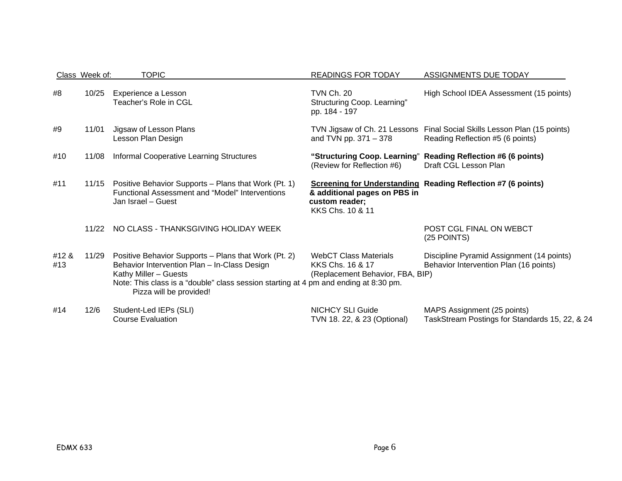|              | Class Week of: | <b>TOPIC</b>                                                                                                                                                                                                                                     | <b>READINGS FOR TODAY</b>                                                            | <b>ASSIGNMENTS DUE TODAY</b>                                                           |
|--------------|----------------|--------------------------------------------------------------------------------------------------------------------------------------------------------------------------------------------------------------------------------------------------|--------------------------------------------------------------------------------------|----------------------------------------------------------------------------------------|
| #8           | 10/25          | Experience a Lesson<br>Teacher's Role in CGL                                                                                                                                                                                                     | <b>TVN Ch. 20</b><br>Structuring Coop. Learning"<br>pp. 184 - 197                    | High School IDEA Assessment (15 points)                                                |
| #9           | 11/01          | Jigsaw of Lesson Plans<br>Lesson Plan Design                                                                                                                                                                                                     | TVN Jigsaw of Ch. 21 Lessons<br>and TVN pp. 371 - 378                                | Final Social Skills Lesson Plan (15 points)<br>Reading Reflection #5 (6 points)        |
| #10          | 11/08          | Informal Cooperative Learning Structures                                                                                                                                                                                                         | (Review for Reflection #6)                                                           | "Structuring Coop. Learning" Reading Reflection #6 (6 points)<br>Draft CGL Lesson Plan |
| #11          | 11/15          | Positive Behavior Supports - Plans that Work (Pt. 1)<br><b>Functional Assessment and "Model" Interventions</b><br>Jan Israel - Guest                                                                                                             | & additional pages on PBS in<br>custom reader;<br>KKS Chs. 10 & 11                   | <b>Screening for Understanding Reading Reflection #7 (6 points)</b>                    |
|              | 11/22          | NO CLASS - THANKSGIVING HOLIDAY WEEK                                                                                                                                                                                                             |                                                                                      | POST CGL FINAL ON WEBCT<br>(25 POINTS)                                                 |
| #12 &<br>#13 | 11/29          | Positive Behavior Supports - Plans that Work (Pt. 2)<br>Behavior Intervention Plan - In-Class Design<br>Kathy Miller - Guests<br>Note: This class is a "double" class session starting at 4 pm and ending at 8:30 pm.<br>Pizza will be provided! | <b>WebCT Class Materials</b><br>KKS Chs. 16 & 17<br>(Replacement Behavior, FBA, BIP) | Discipline Pyramid Assignment (14 points)<br>Behavior Intervention Plan (16 points)    |
| #14          | 12/6           | Student-Led IEPs (SLI)<br><b>Course Evaluation</b>                                                                                                                                                                                               | <b>NICHCY SLI Guide</b><br>TVN 18. 22, & 23 (Optional)                               | MAPS Assignment (25 points)<br>TaskStream Postings for Standards 15, 22, & 24          |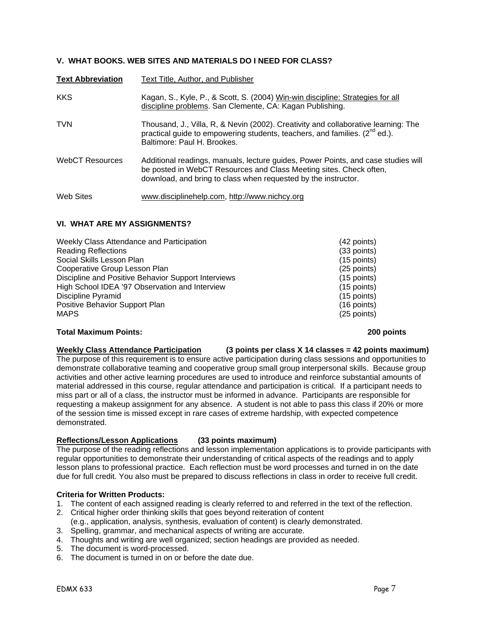# **V. WHAT BOOKS. WEB SITES AND MATERIALS DO I NEED FOR CLASS?**

| <b>Text Abbreviation</b> | Text Title, Author, and Publisher                                                                                                                                                                                         |
|--------------------------|---------------------------------------------------------------------------------------------------------------------------------------------------------------------------------------------------------------------------|
| <b>KKS</b>               | Kagan, S., Kyle, P., & Scott, S. (2004) Win-win discipline: Strategies for all<br>discipline problems. San Clemente, CA: Kagan Publishing.                                                                                |
| <b>TVN</b>               | Thousand, J., Villa, R, & Nevin (2002). Creativity and collaborative learning: The<br>practical guide to empowering students, teachers, and families. $(2^{nd}$ ed.).<br>Baltimore: Paul H. Brookes.                      |
| <b>WebCT Resources</b>   | Additional readings, manuals, lecture guides, Power Points, and case studies will<br>be posted in WebCT Resources and Class Meeting sites. Check often,<br>download, and bring to class when requested by the instructor. |
| <b>Web Sites</b>         | www.disciplinehelp.com, http://www.nichcy.org                                                                                                                                                                             |

# **VI. WHAT ARE MY ASSIGNMENTS?**

| Weekly Class Attendance and Participation           | $(42$ points) |
|-----------------------------------------------------|---------------|
| <b>Reading Reflections</b>                          | $(33$ points) |
| Social Skills Lesson Plan                           | $(15$ points) |
| Cooperative Group Lesson Plan                       | $(25$ points) |
| Discipline and Positive Behavior Support Interviews | $(15$ points) |
| High School IDEA '97 Observation and Interview      | $(15$ points) |
| Discipline Pyramid                                  | $(15$ points) |
| Positive Behavior Support Plan                      | $(16$ points) |
| <b>MAPS</b>                                         | (25 points)   |

#### **Total Maximum Points: 200 points**

**Weekly Class Attendance Participation (3 points per class X 14 classes = 42 points maximum)**  The purpose of this requirement is to ensure active participation during class sessions and opportunities to demonstrate collaborative teaming and cooperative group small group interpersonal skills. Because group activities and other active learning procedures are used to introduce and reinforce substantial amounts of material addressed in this course, regular attendance and participation is critical. If a participant needs to miss part or all of a class, the instructor must be informed in advance. Participants are responsible for requesting a makeup assignment for any absence. A student is not able to pass this class if 20% or more of the session time is missed except in rare cases of extreme hardship, with expected competence demonstrated.

# **Reflections/Lesson Applications (33 points maximum)**

The purpose of the reading reflections and lesson implementation applications is to provide participants with regular opportunities to demonstrate their understanding of critical aspects of the readings and to apply lesson plans to professional practice. Each reflection must be word processes and turned in on the date due for full credit. You also must be prepared to discuss reflections in class in order to receive full credit.

#### **Criteria for Written Products:**

- 1. The content of each assigned reading is clearly referred to and referred in the text of the reflection.
- 2. Critical higher order thinking skills that goes beyond reiteration of content
- (e.g., application, analysis, synthesis, evaluation of content) is clearly demonstrated.
- 3. Spelling, grammar, and mechanical aspects of writing are accurate.
- 4. Thoughts and writing are well organized; section headings are provided as needed.
- 5. The document is word-processed.
- 6. The document is turned in on or before the date due.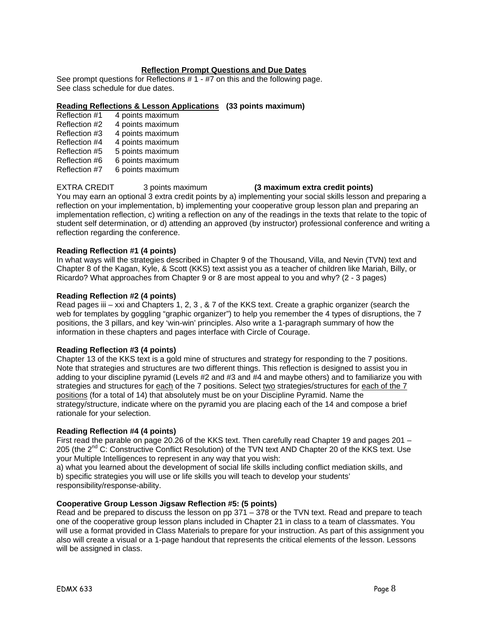#### **Reflection Prompt Questions and Due Dates**

See prompt questions for Reflections # 1 - #7 on this and the following page. See class schedule for due dates.

#### **Reading Reflections & Lesson Applications (33 points maximum)**

- Reflection #1 4 points maximum Reflection #2 4 points maximum Reflection #3 4 points maximum<br>Reflection #4 4 points maximum 4 points maximum Reflection #5 5 points maximum Reflection #6 6 points maximum
- Reflection #7 6 points maximum

# EXTRA CREDIT 3 points maximum **(3 maximum extra credit points)**

You may earn an optional 3 extra credit points by a) implementing your social skills lesson and preparing a reflection on your implementation, b) implementing your cooperative group lesson plan and preparing an implementation reflection, c) writing a reflection on any of the readings in the texts that relate to the topic of student self determination, or d) attending an approved (by instructor) professional conference and writing a reflection regarding the conference.

### **Reading Reflection #1 (4 points)**

In what ways will the strategies described in Chapter 9 of the Thousand, Villa, and Nevin (TVN) text and Chapter 8 of the Kagan, Kyle, & Scott (KKS) text assist you as a teacher of children like Mariah, Billy, or Ricardo? What approaches from Chapter 9 or 8 are most appeal to you and why? (2 - 3 pages)

### **Reading Reflection #2 (4 points)**

Read pages iii – xxi and Chapters 1, 2, 3 , & 7 of the KKS text. Create a graphic organizer (search the web for templates by goggling "graphic organizer") to help you remember the 4 types of disruptions, the 7 positions, the 3 pillars, and key 'win-win' principles. Also write a 1-paragraph summary of how the information in these chapters and pages interface with Circle of Courage.

#### **Reading Reflection #3 (4 points)**

Chapter 13 of the KKS text is a gold mine of structures and strategy for responding to the 7 positions. Note that strategies and structures are two different things. This reflection is designed to assist you in adding to your discipline pyramid (Levels #2 and #3 and #4 and maybe others) and to familiarize you with strategies and structures for each of the 7 positions. Select two strategies/structures for each of the 7 positions (for a total of 14) that absolutely must be on your Discipline Pyramid. Name the strategy/structure, indicate where on the pyramid you are placing each of the 14 and compose a brief rationale for your selection.

#### **Reading Reflection #4 (4 points)**

First read the parable on page 20.26 of the KKS text. Then carefully read Chapter 19 and pages 201 – 205 (the 2<sup>nd</sup> C: Constructive Conflict Resolution) of the TVN text AND Chapter 20 of the KKS text. Use your Multiple Intelligences to represent in any way that you wish:

a) what you learned about the development of social life skills including conflict mediation skills, and b) specific strategies you will use or life skills you will teach to develop your students' responsibility/response-ability.

# **Cooperative Group Lesson Jigsaw Reflection #5: (5 points)**

Read and be prepared to discuss the lesson on pp 371 – 378 or the TVN text. Read and prepare to teach one of the cooperative group lesson plans included in Chapter 21 in class to a team of classmates. You will use a format provided in Class Materials to prepare for your instruction. As part of this assignment you also will create a visual or a 1-page handout that represents the critical elements of the lesson. Lessons will be assigned in class.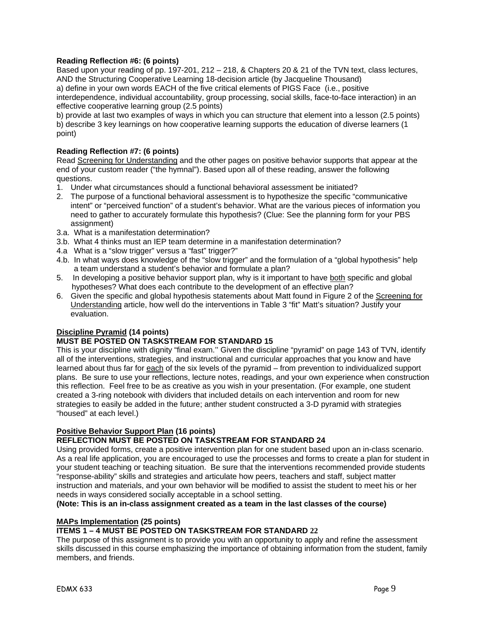# **Reading Reflection #6: (6 points)**

Based upon your reading of pp. 197-201, 212 – 218, & Chapters 20 & 21 of the TVN text, class lectures, AND the Structuring Cooperative Learning 18-decision article (by Jacqueline Thousand) a) define in your own words EACH of the five critical elements of PIGS Face (i.e., positive interdependence, individual accountability, group processing, social skills, face-to-face interaction) in an effective cooperative learning group (2.5 points)

b) provide at last two examples of ways in which you can structure that element into a lesson (2.5 points) b) describe 3 key learnings on how cooperative learning supports the education of diverse learners (1 point)

# **Reading Reflection #7: (6 points)**

Read Screening for Understanding and the other pages on positive behavior supports that appear at the end of your custom reader ("the hymnal"). Based upon all of these reading, answer the following questions.

- 1. Under what circumstances should a functional behavioral assessment be initiated?
- 2. The purpose of a functional behavioral assessment is to hypothesize the specific "communicative intent" or "perceived function" of a student's behavior. What are the various pieces of information you need to gather to accurately formulate this hypothesis? (Clue: See the planning form for your PBS assignment)
- 3.a. What is a manifestation determination?
- 3.b. What 4 thinks must an IEP team determine in a manifestation determination?
- 4.a What is a "slow trigger" versus a "fast" trigger?"
- 4.b. In what ways does knowledge of the "slow trigger" and the formulation of a "global hypothesis" help a team understand a student's behavior and formulate a plan?
- 5. In developing a positive behavior support plan, why is it important to have both specific and global hypotheses? What does each contribute to the development of an effective plan?
- 6. Given the specific and global hypothesis statements about Matt found in Figure 2 of the Screening for Understanding article, how well do the interventions in Table 3 "fit" Matt's situation? Justify your evaluation.

# **Discipline Pyramid (14 points)**

# **MUST BE POSTED ON TASKSTREAM FOR STANDARD 15**

This is your discipline with dignity "final exam.'' Given the discipline "pyramid" on page 143 of TVN, identify all of the interventions, strategies, and instructional and curricular approaches that you know and have learned about thus far for each of the six levels of the pyramid – from prevention to individualized support plans. Be sure to use your reflections, lecture notes, readings, and your own experience when construction this reflection. Feel free to be as creative as you wish in your presentation. (For example, one student created a 3-ring notebook with dividers that included details on each intervention and room for new strategies to easily be added in the future; anther student constructed a 3-D pyramid with strategies "housed" at each level.)

# **Positive Behavior Support Plan (16 points)**

# **REFLECTION MUST BE POSTED ON TASKSTREAM FOR STANDARD 24**

Using provided forms, create a positive intervention plan for one student based upon an in-class scenario. As a real life application, you are encouraged to use the processes and forms to create a plan for student in your student teaching or teaching situation. Be sure that the interventions recommended provide students "response-ability" skills and strategies and articulate how peers, teachers and staff, subject matter instruction and materials, and your own behavior will be modified to assist the student to meet his or her needs in ways considered socially acceptable in a school setting.

#### **(Note: This is an in-class assignment created as a team in the last classes of the course)**

# **MAPs Implementation (25 points)**

# **ITEMS 1 – 4 MUST BE POSTED ON TASKSTREAM FOR STANDARD 22**

The purpose of this assignment is to provide you with an opportunity to apply and refine the assessment skills discussed in this course emphasizing the importance of obtaining information from the student, family members, and friends.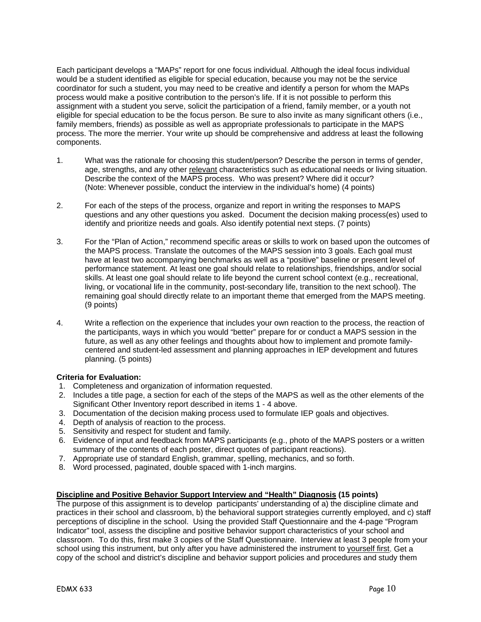Each participant develops a "MAPs" report for one focus individual. Although the ideal focus individual would be a student identified as eligible for special education, because you may not be the service coordinator for such a student, you may need to be creative and identify a person for whom the MAPs process would make a positive contribution to the person's life. If it is not possible to perform this assignment with a student you serve, solicit the participation of a friend, family member, or a youth not eligible for special education to be the focus person. Be sure to also invite as many significant others (i.e., family members, friends) as possible as well as appropriate professionals to participate in the MAPS process. The more the merrier. Your write up should be comprehensive and address at least the following components.

- 1. What was the rationale for choosing this student/person? Describe the person in terms of gender, age, strengths, and any other relevant characteristics such as educational needs or living situation. Describe the context of the MAPS process. Who was present? Where did it occur? (Note: Whenever possible, conduct the interview in the individual's home) (4 points)
- 2. For each of the steps of the process, organize and report in writing the responses to MAPS questions and any other questions you asked. Document the decision making process(es) used to identify and prioritize needs and goals. Also identify potential next steps. (7 points)
- 3. For the "Plan of Action," recommend specific areas or skills to work on based upon the outcomes of the MAPS process. Translate the outcomes of the MAPS session into 3 goals. Each goal must have at least two accompanying benchmarks as well as a "positive" baseline or present level of performance statement. At least one goal should relate to relationships, friendships, and/or social skills. At least one goal should relate to life beyond the current school context (e.g., recreational, living, or vocational life in the community, post-secondary life, transition to the next school). The remaining goal should directly relate to an important theme that emerged from the MAPS meeting. (9 points)
- 4. Write a reflection on the experience that includes your own reaction to the process, the reaction of the participants, ways in which you would "better" prepare for or conduct a MAPS session in the future, as well as any other feelings and thoughts about how to implement and promote familycentered and student-led assessment and planning approaches in IEP development and futures planning. (5 points)

# **Criteria for Evaluation:**

- 1. Completeness and organization of information requested.
- 2. Includes a title page, a section for each of the steps of the MAPS as well as the other elements of the Significant Other Inventory report described in items 1 - 4 above.
- 3. Documentation of the decision making process used to formulate IEP goals and objectives.
- 4. Depth of analysis of reaction to the process.
- 5. Sensitivity and respect for student and family.
- 6. Evidence of input and feedback from MAPS participants (e.g., photo of the MAPS posters or a written summary of the contents of each poster, direct quotes of participant reactions).
- 7. Appropriate use of standard English, grammar, spelling, mechanics, and so forth.
- 8. Word processed, paginated, double spaced with 1-inch margins.

# **Discipline and Positive Behavior Support Interview and "Health" Diagnosis (15 points)**

The purpose of this assignment is to develop participants' understanding of a) the discipline climate and practices in their school and classroom, b) the behavioral support strategies currently employed, and c) staff perceptions of discipline in the school. Using the provided Staff Questionnaire and the 4-page "Program Indicator" tool, assess the discipline and positive behavior support characteristics of your school and classroom. To do this, first make 3 copies of the Staff Questionnaire. Interview at least 3 people from your school using this instrument, but only after you have administered the instrument to yourself first. Get a copy of the school and district's discipline and behavior support policies and procedures and study them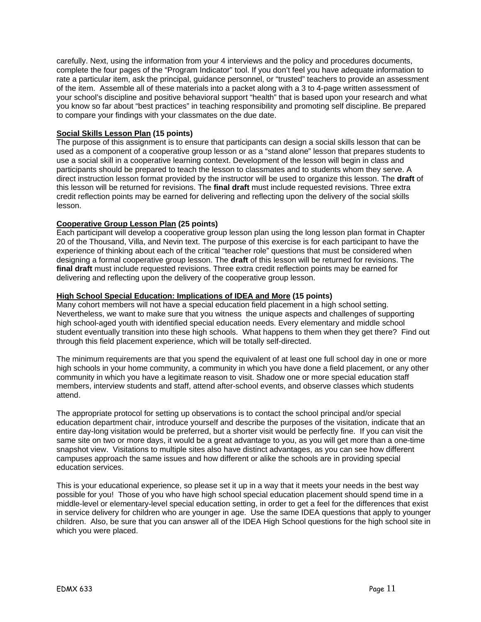carefully. Next, using the information from your 4 interviews and the policy and procedures documents, complete the four pages of the "Program Indicator" tool. If you don't feel you have adequate information to rate a particular item, ask the principal, guidance personnel, or "trusted" teachers to provide an assessment of the item. Assemble all of these materials into a packet along with a 3 to 4-page written assessment of your school's discipline and positive behavioral support "health" that is based upon your research and what you know so far about "best practices" in teaching responsibility and promoting self discipline. Be prepared to compare your findings with your classmates on the due date.

# **Social Skills Lesson Plan (15 points)**

The purpose of this assignment is to ensure that participants can design a social skills lesson that can be used as a component of a cooperative group lesson or as a "stand alone" lesson that prepares students to use a social skill in a cooperative learning context. Development of the lesson will begin in class and participants should be prepared to teach the lesson to classmates and to students whom they serve. A direct instruction lesson format provided by the instructor will be used to organize this lesson. The **draft** of this lesson will be returned for revisions. The **final draft** must include requested revisions. Three extra credit reflection points may be earned for delivering and reflecting upon the delivery of the social skills lesson.

### **Cooperative Group Lesson Plan (25 points)**

Each participant will develop a cooperative group lesson plan using the long lesson plan format in Chapter 20 of the Thousand, Villa, and Nevin text. The purpose of this exercise is for each participant to have the experience of thinking about each of the critical "teacher role" questions that must be considered when designing a formal cooperative group lesson. The **draft** of this lesson will be returned for revisions. The **final draft** must include requested revisions. Three extra credit reflection points may be earned for delivering and reflecting upon the delivery of the cooperative group lesson.

### **High School Special Education: Implications of IDEA and More (15 points)**

Many cohort members will not have a special education field placement in a high school setting. Nevertheless, we want to make sure that you witness the unique aspects and challenges of supporting high school-aged youth with identified special education needs. Every elementary and middle school student eventually transition into these high schools. What happens to them when they get there? Find out through this field placement experience, which will be totally self-directed.

The minimum requirements are that you spend the equivalent of at least one full school day in one or more high schools in your home community, a community in which you have done a field placement, or any other community in which you have a legitimate reason to visit. Shadow one or more special education staff members, interview students and staff, attend after-school events, and observe classes which students attend.

The appropriate protocol for setting up observations is to contact the school principal and/or special education department chair, introduce yourself and describe the purposes of the visitation, indicate that an entire day-long visitation would be preferred, but a shorter visit would be perfectly fine. If you can visit the same site on two or more days, it would be a great advantage to you, as you will get more than a one-time snapshot view. Visitations to multiple sites also have distinct advantages, as you can see how different campuses approach the same issues and how different or alike the schools are in providing special education services.

This is your educational experience, so please set it up in a way that it meets your needs in the best way possible for you! Those of you who have high school special education placement should spend time in a middle-level or elementary-level special education setting, in order to get a feel for the differences that exist in service delivery for children who are younger in age. Use the same IDEA questions that apply to younger children. Also, be sure that you can answer all of the IDEA High School questions for the high school site in which you were placed.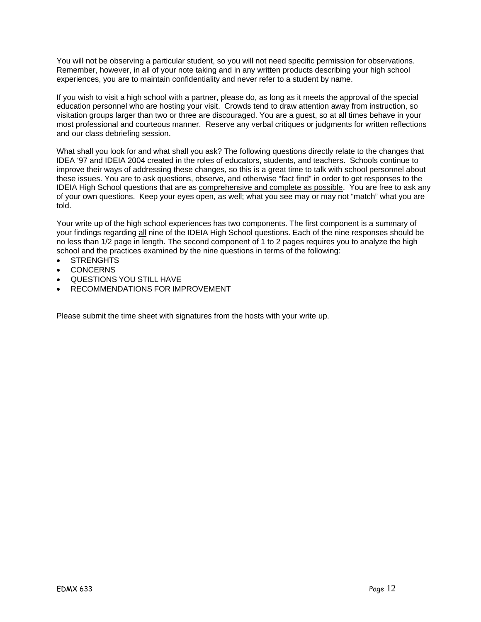You will not be observing a particular student, so you will not need specific permission for observations. Remember, however, in all of your note taking and in any written products describing your high school experiences, you are to maintain confidentiality and never refer to a student by name.

If you wish to visit a high school with a partner, please do, as long as it meets the approval of the special education personnel who are hosting your visit. Crowds tend to draw attention away from instruction, so visitation groups larger than two or three are discouraged. You are a guest, so at all times behave in your most professional and courteous manner. Reserve any verbal critiques or judgments for written reflections and our class debriefing session.

What shall you look for and what shall you ask? The following questions directly relate to the changes that IDEA '97 and IDEIA 2004 created in the roles of educators, students, and teachers. Schools continue to improve their ways of addressing these changes, so this is a great time to talk with school personnel about these issues. You are to ask questions, observe, and otherwise "fact find" in order to get responses to the IDEIA High School questions that are as comprehensive and complete as possible. You are free to ask any of your own questions. Keep your eyes open, as well; what you see may or may not "match" what you are told.

Your write up of the high school experiences has two components. The first component is a summary of your findings regarding all nine of the IDEIA High School questions. Each of the nine responses should be no less than 1/2 page in length. The second component of 1 to 2 pages requires you to analyze the high school and the practices examined by the nine questions in terms of the following:

- **STRENGHTS**
- CONCERNS
- QUESTIONS YOU STILL HAVE
- RECOMMENDATIONS FOR IMPROVEMENT

Please submit the time sheet with signatures from the hosts with your write up.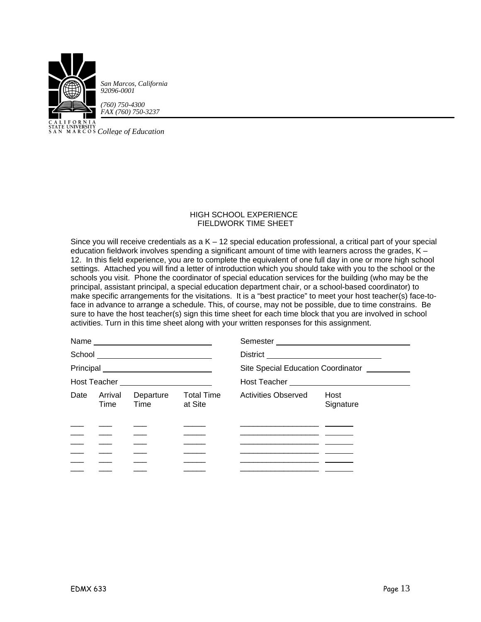

**COLLET STATE UNIVERSITY**<br>SAN MARCOS *College of Education* 

#### HIGH SCHOOL EXPERIENCE FIELDWORK TIME SHEET

Since you will receive credentials as a K – 12 special education professional, a critical part of your special education fieldwork involves spending a significant amount of time with learners across the grades,  $K -$ 12. In this field experience, you are to complete the equivalent of one full day in one or more high school settings. Attached you will find a letter of introduction which you should take with you to the school or the schools you visit. Phone the coordinator of special education services for the building (who may be the principal, assistant principal, a special education department chair, or a school-based coordinator) to make specific arrangements for the visitations. It is a "best practice" to meet your host teacher(s) face-toface in advance to arrange a schedule. This, of course, may not be possible, due to time constrains. Be sure to have the host teacher(s) sign this time sheet for each time block that you are involved in school activities. Turn in this time sheet along with your written responses for this assignment.

|      |                 |                                       |                              | Site Special Education Coordinator __________                                                                   |                   |  |
|------|-----------------|---------------------------------------|------------------------------|-----------------------------------------------------------------------------------------------------------------|-------------------|--|
|      |                 | Host Teacher ________________________ |                              |                                                                                                                 |                   |  |
| Date | Arrival<br>Time | Departure<br>Time                     | <b>Total Time</b><br>at Site | <b>Activities Observed</b>                                                                                      | Host<br>Signature |  |
|      |                 |                                       |                              |                                                                                                                 |                   |  |
|      |                 |                                       |                              |                                                                                                                 |                   |  |
|      |                 |                                       |                              | the contract of the contract of the contract of the contract of the contract of the contract of the contract of |                   |  |
|      |                 |                                       |                              | <u> 1989 - Johann Harrison, fransk politik (f. 1908)</u>                                                        |                   |  |
|      |                 |                                       |                              |                                                                                                                 |                   |  |
|      |                 |                                       |                              |                                                                                                                 |                   |  |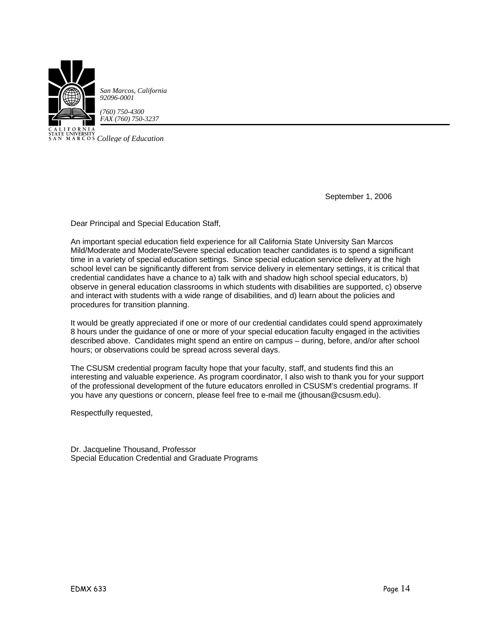

CALIFUNING<br>STATE UNIVERSITY<br>SAN MARCOS *College of Education* 

September 1, 2006

Dear Principal and Special Education Staff,

An important special education field experience for all California State University San Marcos Mild/Moderate and Moderate/Severe special education teacher candidates is to spend a significant time in a variety of special education settings. Since special education service delivery at the high school level can be significantly different from service delivery in elementary settings, it is critical that credential candidates have a chance to a) talk with and shadow high school special educators, b) observe in general education classrooms in which students with disabilities are supported, c) observe and interact with students with a wide range of disabilities, and d) learn about the policies and procedures for transition planning.

It would be greatly appreciated if one or more of our credential candidates could spend approximately 8 hours under the guidance of one or more of your special education faculty engaged in the activities described above. Candidates might spend an entire on campus – during, before, and/or after school hours; or observations could be spread across several days.

The CSUSM credential program faculty hope that your faculty, staff, and students find this an interesting and valuable experience. As program coordinator, I also wish to thank you for your support of the professional development of the future educators enrolled in CSUSM's credential programs. If you have any questions or concern, please feel free to e-mail me (jthousan@csusm.edu).

Respectfully requested,

Dr. Jacqueline Thousand, Professor Special Education Credential and Graduate Programs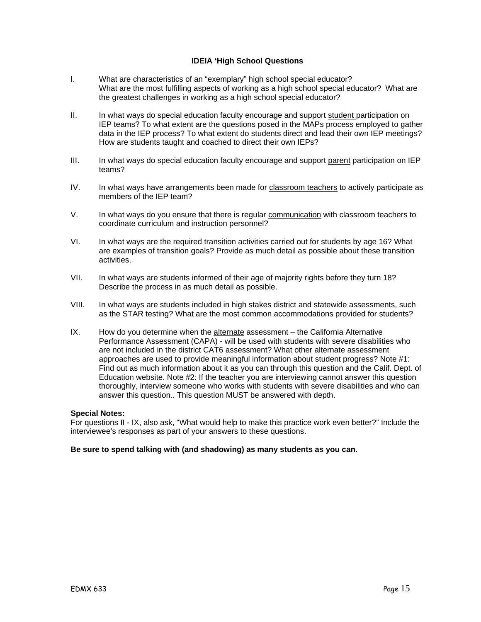# **IDEIA 'High School Questions**

- I. What are characteristics of an "exemplary" high school special educator? What are the most fulfilling aspects of working as a high school special educator? What are the greatest challenges in working as a high school special educator?
- II. In what ways do special education faculty encourage and support student participation on IEP teams? To what extent are the questions posed in the MAPs process employed to gather data in the IEP process? To what extent do students direct and lead their own IEP meetings? How are students taught and coached to direct their own IEPs?
- III. In what ways do special education faculty encourage and support parent participation on IEP teams?
- IV. In what ways have arrangements been made for classroom teachers to actively participate as members of the IEP team?
- V. In what ways do you ensure that there is regular communication with classroom teachers to coordinate curriculum and instruction personnel?
- VI. In what ways are the required transition activities carried out for students by age 16? What are examples of transition goals? Provide as much detail as possible about these transition activities.
- VII. In what ways are students informed of their age of majority rights before they turn 18? Describe the process in as much detail as possible.
- VIII. In what ways are students included in high stakes district and statewide assessments, such as the STAR testing? What are the most common accommodations provided for students?
- IX. How do you determine when the alternate assessment the California Alternative Performance Assessment (CAPA) - will be used with students with severe disabilities who are not included in the district CAT6 assessment? What other alternate assessment approaches are used to provide meaningful information about student progress? Note #1: Find out as much information about it as you can through this question and the Calif. Dept. of Education website. Note #2: If the teacher you are interviewing cannot answer this question thoroughly, interview someone who works with students with severe disabilities and who can answer this question.. This question MUST be answered with depth.

#### **Special Notes:**

For questions II - IX, also ask, "What would help to make this practice work even better?" Include the interviewee's responses as part of your answers to these questions.

#### **Be sure to spend talking with (and shadowing) as many students as you can.**